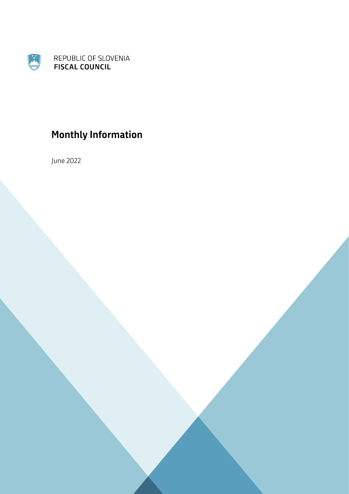

# **Monthly Information**

June 2022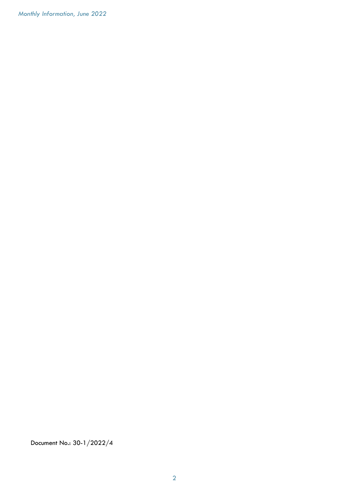Monthly Information, June 2022

Document No.: 30-1/2022/4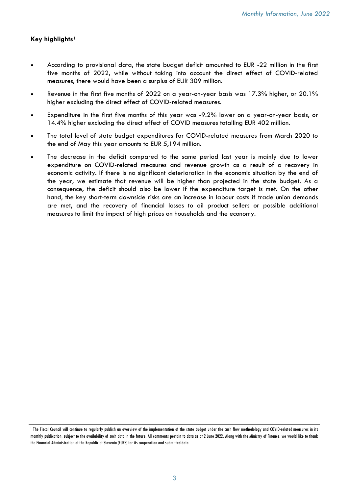## Key highlights<sup>1</sup>

- · According to provisional data, the state budget deficit amounted to EUR -22 million in the first five months of 2022, while without taking into account the direct effect of COVID-related measures, there would have been a surplus of EUR 309 million.
- · Revenue in the first five months of 2022 on a year-on-year basis was 17.3% higher, or 20.1% higher excluding the direct effect of COVID-related measures.
- Expenditure in the first five months of this year was -9.2% lower on a year-on-year basis, or 14.4% higher excluding the direct effect of COVID measures totalling EUR 402 million.
- · The total level of state budget expenditures for COVID-related measures from March 2020 to the end of May this year amounts to EUR 5,194 million.
- The decrease in the deficit compared to the same period last year is mainly due to lower expenditure on COVID-related measures and revenue growth as a result of a recovery in economic activity. If there is no significant deterioration in the economic situation by the end of the year, we estimate that revenue will be higher than projected in the state budget. As a consequence, the deficit should also be lower if the expenditure target is met. On the other hand, the key short-term downside risks are an increase in labour costs if trade union demands are met, and the recovery of financial losses to oil product sellers or possible additional measures to limit the impact of high prices on households and the economy.

<sup>1</sup> The Fiscal Council will continue to regularly publish an overview of the implementation of the state budget under the cash flow methodology and COVID-related measures in its monthly publication, subject to the availability of such data in the future. All comments pertain to data as at 2 June 2022. Along with the Ministry of Finance, we would like to thank the Financial Administration of the Republic of Slovenia (FURS) for its cooperation and submitted data.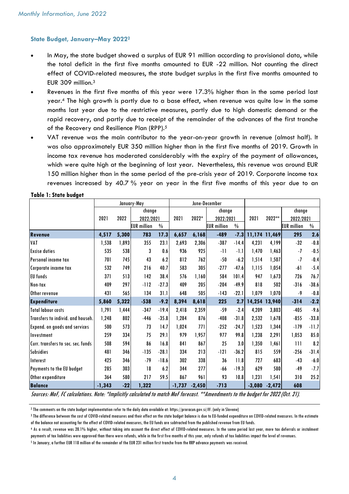#### State Budget, January–May 2022<sup>2</sup>

- · In May, the state budget showed a surplus of EUR 91 million according to provisional data, while the total deficit in the first five months amounted to EUR -22 million. Not counting the direct effect of COVID-related measures, the state budget surplus in the first five months amounted to EUR 309 million.<sup>3</sup>
- Revenues in the first five months of this year were 17.3% higher than in the same period last year.<sup>4</sup> The high growth is partly due to a base effect, when revenue was quite low in the same months last year due to the restrictive measures, partly due to high domestic demand or the rapid recovery, and partly due to receipt of the remainder of the advances of the first tranche of the Recovery and Resilience Plan (RPP).<sup>5</sup>
- · VAT revenue was the main contributor to the year-on-year growth in revenue (almost half). It was also approximately EUR 350 million higher than in the first five months of 2019. Growth in income tax revenue has moderated considerably with the expiry of the payment of allowances, which were quite high at the beginning of last year. Nevertheless, this revenue was around EUR 150 million higher than in the same period of the pre-crisis year of 2019. Corporate income tax revenues increased by 40.7 % year on year in the first five months of this year due to an

|                                      | January-May |       |                    |               | June-December |          |                    |               |               |          |                    |               |
|--------------------------------------|-------------|-------|--------------------|---------------|---------------|----------|--------------------|---------------|---------------|----------|--------------------|---------------|
|                                      |             |       | change             |               |               |          | change             |               |               |          | change             |               |
|                                      | 2021        | 2022  | 2022/2021          |               | 2021          | 2022*    | 2022/2021          |               | 2021          | 2022**   | 2022/2021          |               |
|                                      |             |       | <b>EUR</b> million | $\frac{0}{0}$ |               |          | <b>EUR</b> million | $\frac{0}{0}$ |               |          | <b>EUR</b> million | $\frac{0}{0}$ |
| <b>Revenue</b>                       | 4,517       | 5,300 | 783                | 17.3          | 6,657         | 6,168    | $-489$             | $-7.3$        | 11,174 11,469 |          | 295                | 2.6           |
| VAT                                  | 1,538       | 1,893 | 355                | 23.1          | 2,693         | 2,306    | $-387$             | $-14.4$       | 4,231         | 4,199    | $-32$              | $-0.8$        |
| <b>Excise duties</b>                 | 535         | 538   | 3                  | 0.6           | 936           | 925      | -11                | $-1.1$        | 1,470         | 1,463    | $-7$               | $-0.5$        |
| Personal income tax                  | 701         | 745   | 43                 | 6.2           | 812           | 762      | $-50$              | $-6.2$        | 1,514         | 1,507    | $-7$               | $-0.4$        |
| Corporate income tax                 | 532         | 749   | 216                | 40.7          | 583           | 305      | $-277$             | $-47.6$       | 1,115         | 1,054    | $-61$              | $-5.4$        |
| <b>EU</b> funds                      | 371         | 513   | 142                | 38.4          | 576           | 1.160    | 584                | 101.4         | 947           | 1,673    | 726                | 76.7          |
| Non-tax                              | 409         | 297   | $-112$             | $-27.3$       | 409           | 205      | $-204$             | $-49.9$       | 818           | 502      | $-316$             | $-38.6$       |
| Other revenue                        | 431         | 565   | 134                | 31.1          | 648           | 505      | $-143$             | $-22.1$       | 1,079         | 1,070    | $-9$               | $-0.8$        |
| <b>Expenditure</b>                   | 5,860       | 5,322 | $-538$             | $-9.2$        | 8,394         | 8,618    | 225                | 2.7           | 14,254        | 13,940   | $-314$             | $-2.2$        |
| <b>Total labour costs</b>            | 1,791       | 1,444 | $-347$             | $-19.4$       | 2,418         | 2,359    | $-59$              | $-2.4$        | 4,209         | 3,803    | $-405$             | $-9.6$        |
| Transfers to individ. and househ.    | 1,248       | 802   | $-446$             | $-35.8$       | 1,284         | 876      | $-408$             | $-31.8$       | 2,532         | 1,678    | $-855$             | $-33.8$       |
| <b>Expend. on goods and services</b> | 500         | 573   | 73                 | 14.7          | 1,024         | 771      | $-252$             | $-24.7$       | 1,523         | 1,344    | $-179$             | $-11.7$       |
| Investment                           | 259         | 334   | 75                 | 29.1          | 979           | 1,957    | 977                | 99.8          | 1,238         | 2,291    | 1,053              | 85.0          |
| Curr, transfers to soc, sec, funds   | 508         | 594   | 86                 | 16.8          | 841           | 867      | 25                 | 3.0           | 1,350         | 1,461    | 111                | 8.2           |
| <b>Subsidies</b>                     | 481         | 346   | $-135$             | $-28.1$       | 334           | 213      | $-121$             | $-36.2$       | 815           | 559      | $-256$             | $-31.4$       |
| Interest                             | 425         | 346   | $-79$              | $-18.6$       | 302           | 338      | 36                 | 11.8          | 727           | 683      | $-43$              | $-6.0$        |
| Payments to the EU budget            | 285         | 303   | 18                 | 6.2           | 344           | 277      | -66                | $-19.3$       | 629           | 580      | $-49$              | $-7.7$        |
| Other expenditure                    | 364         | 580   | 217                | 59.5          | 867           | 961      | 93                 | 10.8          | 1,231         | 1,541    | 310                | 25.2          |
| <b>Balance</b>                       | $-1,343$    | $-22$ | 1,322              |               | $-1,737$      | $-2,450$ | $-713$             |               | $-3,080$      | $-2,472$ | 608                |               |

Table 1: State budget

Sources: MoF, FC calculations. Note: \*Implicitly calculated to match MoF forecast. \*\*Amendments to the budget for 2022 (Oct. 21).

<sup>2</sup> The comments on the state budget implementation refer to the daily data available at: https://proracun.gov.si/#. (only in Slovene)

5 In January, a further EUR 118 million of the remainder of the EUR 231 million first tranche from the RRP advance payments was received.

<sup>3</sup> The difference between the cost of COVID-related measures and their effect on the state budget balance is due to EU-funded expenditure on COVID-related measures. In the estimate of the balance not accounting for the effect of COVID-related measures, the EU funds are subtracted from the published revenue from EU funds.

<sup>4</sup> As a result, revenue was 20.1% higher, without taking into account the direct effect of COVID-related measures. In the same period last year, more tax deferrals or instalment payments of tax liabilities were approved than there were refunds, while in the first five months of this year, only refunds of tax liabilities impact the level of revenues.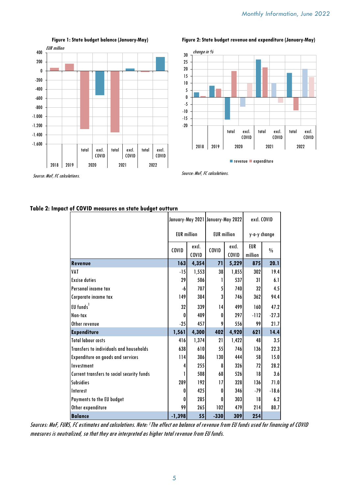

Figure 1: State budget balance (January-May)

Figure 2: State budget revenue and expenditure (January-May)



**n** revenue **expenditure** 

Source: MoF, FC calculations.

| Table 2: Impact of COVID measures on state budget outturn |  |  |  |  |
|-----------------------------------------------------------|--|--|--|--|
|-----------------------------------------------------------|--|--|--|--|

|                                            | January-May 2021 January-May 2022 |                |                    |                | excl. COVID           |               |  |
|--------------------------------------------|-----------------------------------|----------------|--------------------|----------------|-----------------------|---------------|--|
|                                            | <b>EUR</b> million                |                | <b>EUR</b> million |                | y-o-y change          |               |  |
|                                            | COVID                             | excl.<br>COVID | COVID              | excl.<br>COVID | <b>EUR</b><br>million | $\frac{0}{0}$ |  |
| <b>Revenue</b>                             | 163                               | 4,354          | 71                 | 5,229          | 875                   | 20.1          |  |
| <b>VAT</b>                                 | $-15$                             | 1,553          | 38                 | 1,855          | 302                   | 19.4          |  |
| <b>Excise duties</b>                       | 29                                | 506            |                    | 537            | 31                    | 6.1           |  |
| Personal income tax                        | -6                                | 707            | 5                  | 740            | 32                    | 4.5           |  |
| Corporate income tax                       | 149                               | 384            | 3                  | 746            | 362                   | 94.4          |  |
| EU funds <sup>1</sup>                      | 32                                | 339            | 14                 | 499            | 160                   | 47.2          |  |
| Non-tax                                    | 0                                 | 409            | 0                  | 297            | $-112$                | $-27.3$       |  |
| Other revenue                              | $-25$                             | 457            | 9                  | 556            | 99                    | 21.7          |  |
| <b>Expenditure</b>                         | 1,561                             | 4,300          | 402                | 4,920          | 621                   | 14.4          |  |
| <b>Total labour costs</b>                  | 416                               | 1,374          | 21                 | 1,422          | 48                    | 3.5           |  |
| Transfers to individuals and households    | 638                               | 610            | 55                 | 746            | 136                   | 22.3          |  |
| Expenditure on goods and services          | 114                               | 386            | 130                | 444            | 58                    | 15.0          |  |
| Investment                                 | 4                                 | 255            | 8                  | 326            | 72                    | 28.2          |  |
| Current transfers to social security funds | 1                                 | 508            | 68                 | 526            | 18                    | 3.6           |  |
| <b>Subsidies</b>                           | 289                               | 192            | 17                 | 328            | 136                   | 71.0          |  |
| Interest                                   | 0                                 | 425            | 0                  | 346            | $-79$                 | $-18.6$       |  |
| Payments to the EU budget                  | 0                                 | 285            | 0                  | 303            | 18                    | 6.2           |  |
| Other expenditure                          | 99                                | 265            | 102                | 479            | 214                   | 80.7          |  |
| <b>Balance</b>                             | $-1,398$                          | 55             | $-330$             | 309            | 254                   |               |  |

Sources: MoF, FURS, FC estimates and calculations. Note: <sup>1</sup>The effect on balance of revenue from EU funds used for financing of COVID measures is neutralized, so that they are interpreted as higher total revenue from EU funds.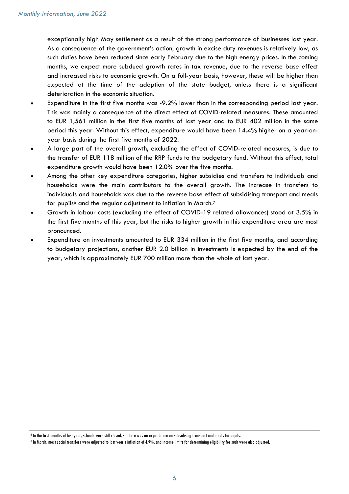exceptionally high May settlement as a result of the strong performance of businesses last year. As a consequence of the government's action, growth in excise duty revenues is relatively low, as such duties have been reduced since early February due to the high energy prices. In the coming months, we expect more subdued growth rates in tax revenue, due to the reverse base effect and increased risks to economic growth. On a full-year basis, however, these will be higher than expected at the time of the adoption of the state budget, unless there is a significant deterioration in the economic situation.

- Expenditure in the first five months was -9.2% lower than in the corresponding period last year. This was mainly a consequence of the direct effect of COVID-related measures. These amounted to EUR 1,561 million in the first five months of last year and to EUR 402 million in the same period this year. Without this effect, expenditure would have been 14.4% higher on a year-onyear basis during the first five months of 2022.
- · A large part of the overall growth, excluding the effect of COVID-related measures, is due to the transfer of EUR 118 million of the RRP funds to the budgetary fund. Without this effect, total expenditure growth would have been 12.0% over the five months.
- · Among the other key expenditure categories, higher subsidies and transfers to individuals and households were the main contributors to the overall growth. The increase in transfers to individuals and households was due to the reverse base effect of subsidising transport and meals for pupils<sup>6</sup> and the regular adjustment to inflation in March.<sup>7</sup>
- · Growth in labour costs (excluding the effect of COVID-19 related allowances) stood at 3.5% in the first five months of this year, but the risks to higher growth in this expenditure area are most pronounced.
- Expenditure on investments amounted to EUR 334 million in the first five months, and according to budgetary projections, another EUR 2.0 billion in investments is expected by the end of the year, which is approximately EUR 700 million more than the whole of last year.

<sup>6</sup> In the first months of last year, schools were still closed, so there was no expenditure on subsidising transport and meals for pupils.

<sup>7</sup> In March, most social transfers were adjusted to last year's inflation of 4.9%, and income limits for determining eligibility for such were also adjusted.